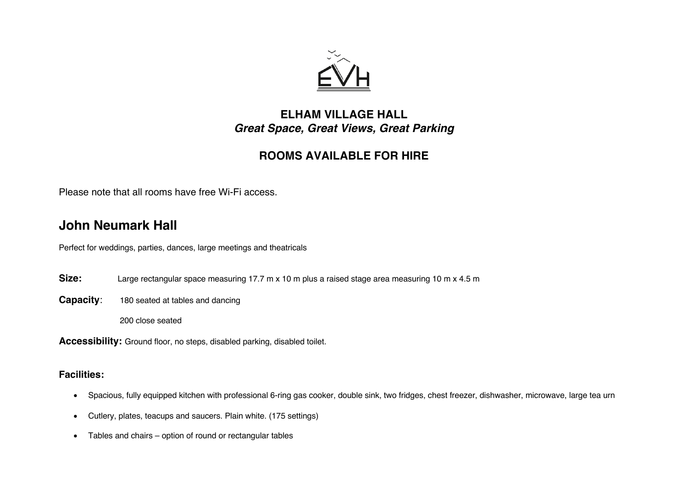

### **ELHAM VILLAGE HALL** *Great Space, Great Views, Great Parking*

### **ROOMS AVAILABLE FOR HIRE**

Please note that all rooms have free Wi-Fi access.

## **John Neumark Hall**

Perfect for weddings, parties, dances, large meetings and theatricals

- **Size:** Large rectangular space measuring 17.7 m x 10 m plus a raised stage area measuring 10 m x 4.5 m
- **Capacity**: 180 seated at tables and dancing

200 close seated

**Accessibility:** Ground floor, no steps, disabled parking, disabled toilet.

### **Facilities:**

- Spacious, fully equipped kitchen with professional 6-ring gas cooker, double sink, two fridges, chest freezer, dishwasher, microwave, large tea urn
- Cutlery, plates, teacups and saucers. Plain white. (175 settings)
- Tables and chairs option of round or rectangular tables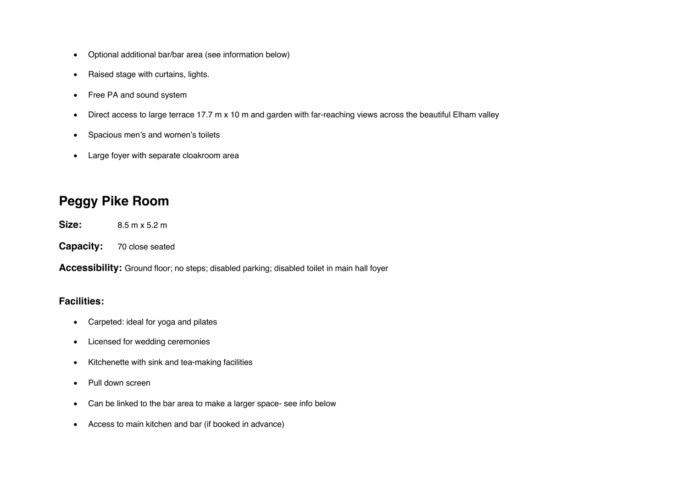- Optional additional bar/bar area (see information below)
- Raised stage with curtains, lights.
- Free PA and sound system
- Direct access to large terrace 17.7 m x 10 m and garden with far-reaching views across the beautiful Elham valley
- Spacious men's and women's toilets
- Large foyer with separate cloakroom area

## **Peggy Pike Room**

**Size:** 8.5 m x 5.2 m

**Capacity:** 70 close seated

**Accessibility:** Ground floor; no steps; disabled parking; disabled toilet in main hall foyer

#### **Facilities:**

- Carpeted: ideal for yoga and pilates
- Licensed for wedding ceremonies
- Kitchenette with sink and tea-making facilities
- Pull down screen
- Can be linked to the bar area to make a larger space- see info below
- Access to main kitchen and bar (if booked in advance)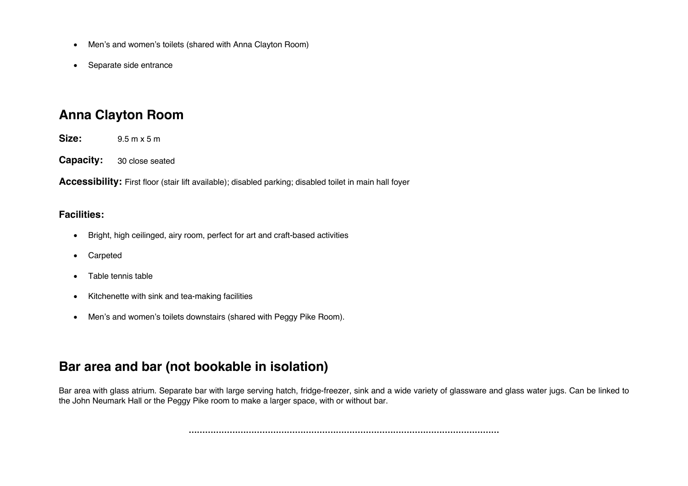- Men's and women's toilets (shared with Anna Clayton Room)
- Separate side entrance

# **Anna Clayton Room**

**Size:** 9.5 m x 5 m

**Capacity:** 30 close seated

**Accessibility:** First floor (stair lift available); disabled parking; disabled toilet in main hall foyer

#### **Facilities:**

- Bright, high ceilinged, airy room, perfect for art and craft-based activities
- Carpeted
- Table tennis table
- Kitchenette with sink and tea-making facilities
- Men's and women's toilets downstairs (shared with Peggy Pike Room).

# **Bar area and bar (not bookable in isolation)**

Bar area with glass atrium. Separate bar with large serving hatch, fridge-freezer, sink and a wide variety of glassware and glass water jugs. Can be linked to the John Neumark Hall or the Peggy Pike room to make a larger space, with or without bar.

**……………………………………………………………………………………………………**